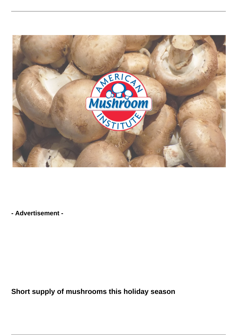

**- Advertisement -**

**Short supply of mushrooms this holiday season**